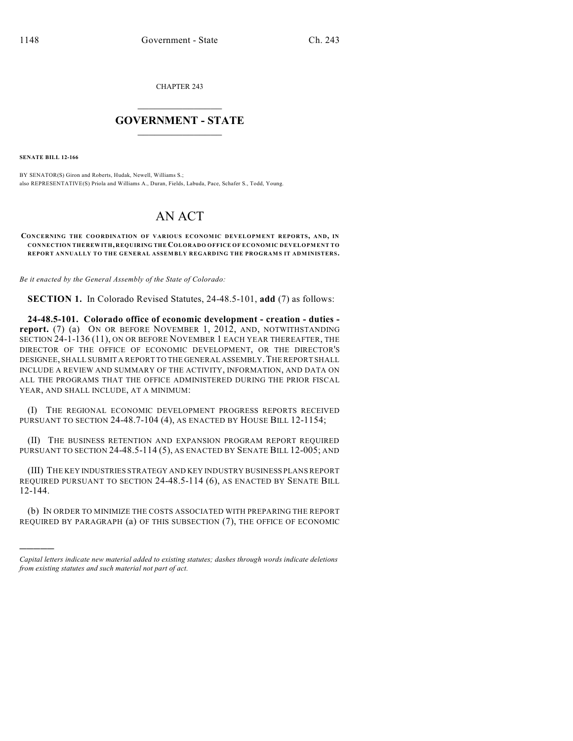CHAPTER 243

## $\mathcal{L}_\text{max}$  . The set of the set of the set of the set of the set of the set of the set of the set of the set of the set of the set of the set of the set of the set of the set of the set of the set of the set of the set **GOVERNMENT - STATE**  $\_$   $\_$   $\_$   $\_$   $\_$   $\_$   $\_$   $\_$   $\_$

**SENATE BILL 12-166**

)))))

BY SENATOR(S) Giron and Roberts, Hudak, Newell, Williams S.; also REPRESENTATIVE(S) Priola and Williams A., Duran, Fields, Labuda, Pace, Schafer S., Todd, Young.

## AN ACT

**CONCERNING THE COORDINATION OF VARIOUS ECONOMIC DEVELOPMENT REPORTS, AND, IN CONNECTION THEREWITH, REQUIRING THE COLORADO OFFICE OF ECONOMIC DEVELOPMENT TO REPORT ANNUALLY TO THE GENERAL ASSEMBLY REGARDING THE PROGRAMS IT ADMINISTERS.**

*Be it enacted by the General Assembly of the State of Colorado:*

**SECTION 1.** In Colorado Revised Statutes, 24-48.5-101, **add** (7) as follows:

**24-48.5-101. Colorado office of economic development - creation - duties report.** (7) (a) ON OR BEFORE NOVEMBER 1, 2012, AND, NOTWITHSTANDING SECTION 24-1-136 (11), ON OR BEFORE NOVEMBER 1 EACH YEAR THEREAFTER, THE DIRECTOR OF THE OFFICE OF ECONOMIC DEVELOPMENT, OR THE DIRECTOR'S DESIGNEE, SHALL SUBMIT A REPORT TO THE GENERAL ASSEMBLY.THE REPORT SHALL INCLUDE A REVIEW AND SUMMARY OF THE ACTIVITY, INFORMATION, AND DATA ON ALL THE PROGRAMS THAT THE OFFICE ADMINISTERED DURING THE PRIOR FISCAL YEAR, AND SHALL INCLUDE, AT A MINIMUM:

(I) THE REGIONAL ECONOMIC DEVELOPMENT PROGRESS REPORTS RECEIVED PURSUANT TO SECTION 24-48.7-104 (4), AS ENACTED BY HOUSE BILL 12-1154;

(II) THE BUSINESS RETENTION AND EXPANSION PROGRAM REPORT REQUIRED PURSUANT TO SECTION 24-48.5-114 (5), AS ENACTED BY SENATE BILL 12-005; AND

(III) THE KEY INDUSTRIES STRATEGY AND KEY INDUSTRY BUSINESS PLANS REPORT REQUIRED PURSUANT TO SECTION 24-48.5-114 (6), AS ENACTED BY SENATE BILL 12-144.

(b) IN ORDER TO MINIMIZE THE COSTS ASSOCIATED WITH PREPARING THE REPORT REQUIRED BY PARAGRAPH (a) OF THIS SUBSECTION (7), THE OFFICE OF ECONOMIC

*Capital letters indicate new material added to existing statutes; dashes through words indicate deletions from existing statutes and such material not part of act.*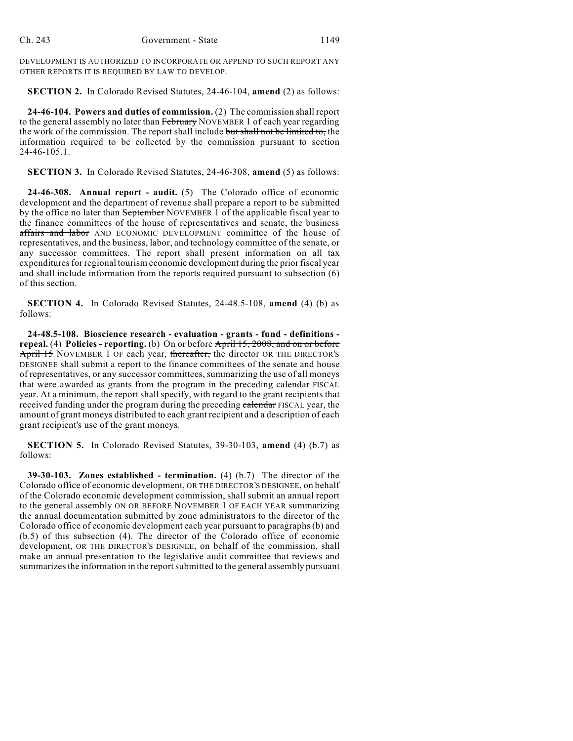DEVELOPMENT IS AUTHORIZED TO INCORPORATE OR APPEND TO SUCH REPORT ANY OTHER REPORTS IT IS REQUIRED BY LAW TO DEVELOP.

**SECTION 2.** In Colorado Revised Statutes, 24-46-104, **amend** (2) as follows:

**24-46-104. Powers and duties of commission.** (2) The commission shall report to the general assembly no later than February NOVEMBER 1 of each year regarding the work of the commission. The report shall include but shall not be limited to, the information required to be collected by the commission pursuant to section 24-46-105.1.

**SECTION 3.** In Colorado Revised Statutes, 24-46-308, **amend** (5) as follows:

**24-46-308. Annual report - audit.** (5) The Colorado office of economic development and the department of revenue shall prepare a report to be submitted by the office no later than September NOVEMBER 1 of the applicable fiscal year to the finance committees of the house of representatives and senate, the business affairs and labor AND ECONOMIC DEVELOPMENT committee of the house of representatives, and the business, labor, and technology committee of the senate, or any successor committees. The report shall present information on all tax expenditures for regional tourism economic development during the prior fiscal year and shall include information from the reports required pursuant to subsection (6) of this section.

**SECTION 4.** In Colorado Revised Statutes, 24-48.5-108, **amend** (4) (b) as follows:

**24-48.5-108. Bioscience research - evaluation - grants - fund - definitions repeal.** (4) **Policies - reporting.** (b) On or before April 15, 2008, and on or before April 15 NOVEMBER 1 OF each year, thereafter, the director OR THE DIRECTOR'S DESIGNEE shall submit a report to the finance committees of the senate and house of representatives, or any successor committees, summarizing the use of all moneys that were awarded as grants from the program in the preceding calendar FISCAL year. At a minimum, the report shall specify, with regard to the grant recipients that received funding under the program during the preceding calendar FISCAL year, the amount of grant moneys distributed to each grant recipient and a description of each grant recipient's use of the grant moneys.

**SECTION 5.** In Colorado Revised Statutes, 39-30-103, **amend** (4) (b.7) as follows:

**39-30-103. Zones established - termination.** (4) (b.7) The director of the Colorado office of economic development, OR THE DIRECTOR'S DESIGNEE, on behalf of the Colorado economic development commission, shall submit an annual report to the general assembly ON OR BEFORE NOVEMBER 1 OF EACH YEAR summarizing the annual documentation submitted by zone administrators to the director of the Colorado office of economic development each year pursuant to paragraphs (b) and (b.5) of this subsection (4). The director of the Colorado office of economic development, OR THE DIRECTOR'S DESIGNEE, on behalf of the commission, shall make an annual presentation to the legislative audit committee that reviews and summarizes the information in the report submitted to the general assembly pursuant